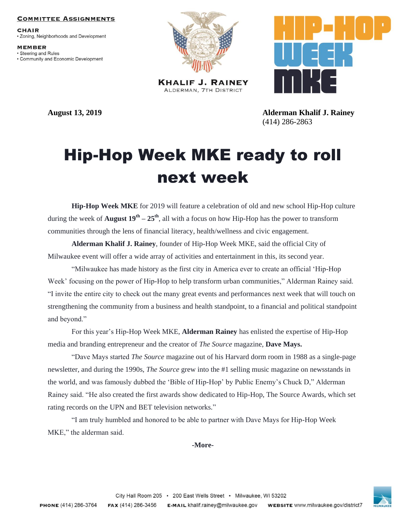## **COMMITTEE ASSIGNMENTS**

**CHAIR** · Zoning, Neighborhoods and Development

**MEMBER** · Steering and Rules • Community and Economic Development



**KHALIF J. RAINEY** ALDERMAN, 7TH DISTRICT



**August 13, 2019 Alderman Khalif J. Rainey** (414) 286-2863

## Hip-Hop Week MKE ready to roll next week

**Hip-Hop Week MKE** for 2019 will feature a celebration of old and new school Hip-Hop culture during the week of **August 19th – 25th**, all with a focus on how Hip-Hop has the power to transform communities through the lens of financial literacy, health/wellness and civic engagement.

**Alderman Khalif J. Rainey**, founder of Hip-Hop Week MKE, said the official City of Milwaukee event will offer a wide array of activities and entertainment in this, its second year.

"Milwaukee has made history as the first city in America ever to create an official 'Hip-Hop Week' focusing on the power of Hip-Hop to help transform urban communities," Alderman Rainey said. "I invite the entire city to check out the many great events and performances next week that will touch on strengthening the community from a business and health standpoint, to a financial and political standpoint and beyond."

For this year's Hip-Hop Week MKE, **Alderman Rainey** has enlisted the expertise of Hip-Hop media and branding entrepreneur and the creator of *The Source* magazine, **Dave Mays.**

"Dave Mays started *The Source* magazine out of his Harvard dorm room in 1988 as a single-page newsletter, and during the 1990s, *The Source* grew into the #1 selling music magazine on newsstands in the world, and was famously dubbed the 'Bible of Hip-Hop' by Public Enemy's Chuck D," Alderman Rainey said. "He also created the first awards show dedicated to Hip-Hop, The Source Awards, which set rating records on the UPN and BET television networks."

"I am truly humbled and honored to be able to partner with Dave Mays for Hip-Hop Week MKE," the alderman said.

## **-More-**